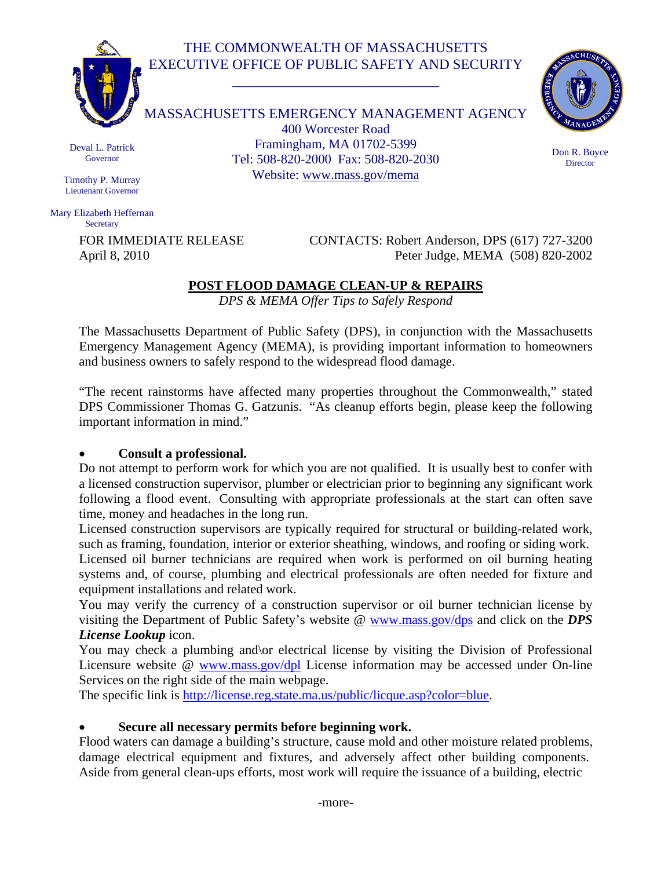# THE COMMONWEALTH OF MASSACHUSETTS EXECUTIVE OFFICE OF PUBLIC SAFETY AND SECURITY

\_\_\_\_\_\_\_\_\_\_\_\_\_\_\_\_\_\_\_\_\_\_\_\_\_\_\_\_\_



MASSACHUSETTS EMERGENCY MANAGEMENT AGENCY 400 Worcester Road Framingham, MA 01702-5399 Tel: 508-820-2000 Fax: 508-820-2030 Website: www.mass.gov/mema



Don R. Boyce **Director** 

Deval L. Patrick Governor

Timothy P. Murray Lieutenant Governor

Mary Elizabeth Heffernan **Secretary** 

FOR IMMEDIATE RELEASE CONTACTS: Robert Anderson, DPS (617) 727-3200 April 8, 2010 Peter Judge, MEMA (508) 820-2002

## **POST FLOOD DAMAGE CLEAN-UP & REPAIRS**

*DPS & MEMA Offer Tips to Safely Respond* 

The Massachusetts Department of Public Safety (DPS), in conjunction with the Massachusetts Emergency Management Agency (MEMA), is providing important information to homeowners and business owners to safely respond to the widespread flood damage.

"The recent rainstorms have affected many properties throughout the Commonwealth," stated DPS Commissioner Thomas G. Gatzunis. "As cleanup efforts begin, please keep the following important information in mind."

## • **Consult a professional.**

Do not attempt to perform work for which you are not qualified. It is usually best to confer with a licensed construction supervisor, plumber or electrician prior to beginning any significant work following a flood event. Consulting with appropriate professionals at the start can often save time, money and headaches in the long run.

Licensed construction supervisors are typically required for structural or building-related work, such as framing, foundation, interior or exterior sheathing, windows, and roofing or siding work.

Licensed oil burner technicians are required when work is performed on oil burning heating systems and, of course, plumbing and electrical professionals are often needed for fixture and equipment installations and related work.

You may verify the currency of a construction supervisor or oil burner technician license by visiting the Department of Public Safety's website @ www.mass.gov/dps and click on the *DPS License Lookup* icon.

You may check a plumbing and or electrical license by visiting the Division of Professional Licensure website @ www.mass.gov/dpl License information may be accessed under On-line Services on the right side of the main webpage.

The specific link is http://license.reg.state.ma.us/public/licque.asp?color=blue.

## • **Secure all necessary permits before beginning work.**

Flood waters can damage a building's structure, cause mold and other moisture related problems, damage electrical equipment and fixtures, and adversely affect other building components. Aside from general clean-ups efforts, most work will require the issuance of a building, electric